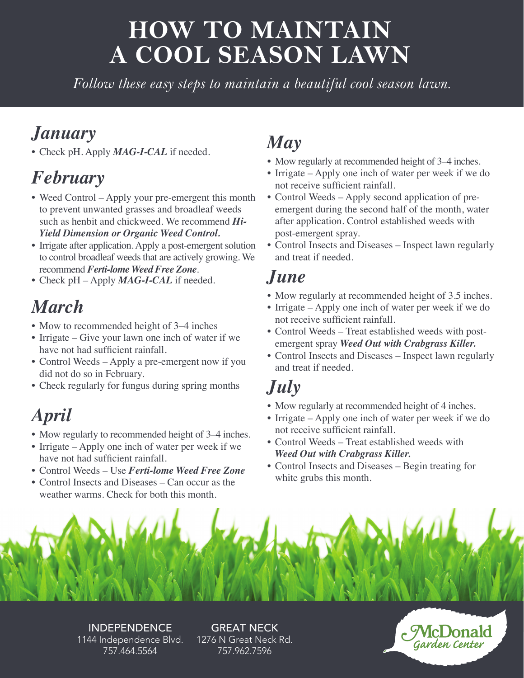# **HOW TO MAINTAIN A COOL SEASON LAWN**

*Follow these easy steps to maintain a beautiful cool season lawn.*

## *January*

• Check pH. Apply *MAG-I-CAL* if needed.

## *February*

- Weed Control Apply your pre-emergent this month to prevent unwanted grasses and broadleaf weeds such as henbit and chickweed. We recommend *Hi-Yield Dimension or Organic Weed Control.*
- Irrigate after application. Apply a post-emergent solution to control broadleaf weeds that are actively growing. We recommend *Ferti-lome Weed Free Zone*.
- Check pH Apply *MAG-I-CAL* if needed.

## *March*

- Mow to recommended height of 3–4 inches
- Irrigate Give your lawn one inch of water if we have not had sufficient rainfall.
- Control Weeds Apply a pre-emergent now if you did not do so in February.
- Check regularly for fungus during spring months

## *April*

- Mow regularly to recommended height of 3–4 inches.
- Irrigate Apply one inch of water per week if we have not had sufficient rainfall.
- Control Weeds Use *Ferti-lome Weed Free Zone*
- Control Insects and Diseases Can occur as the weather warms. Check for both this month.

# *May*

- Mow regularly at recommended height of 3–4 inches.
- Irrigate Apply one inch of water per week if we do not receive sufficient rainfall.
- Control Weeds Apply second application of preemergent during the second half of the month, water after application. Control established weeds with post-emergent spray.
- Control Insects and Diseases Inspect lawn regularly and treat if needed.

### *June*

- Mow regularly at recommended height of 3.5 inches.
- Irrigate Apply one inch of water per week if we do not receive sufficient rainfall.
- Control Weeds Treat established weeds with postemergent spray *Weed Out with Crabgrass Killer.*
- Control Insects and Diseases Inspect lawn regularly and treat if needed.

## *July*

- Mow regularly at recommended height of 4 inches.
- Irrigate Apply one inch of water per week if we do not receive sufficient rainfall.
- Control Weeds Treat established weeds with  *Weed Out with Crabgrass Killer.*
- Control Insects and Diseases Begin treating for white grubs this month.



INDEPENDENCE 1144 Independence Blvd. 757.464.5564

GREAT NECK 1276 N Great Neck Rd. 757.962.7596